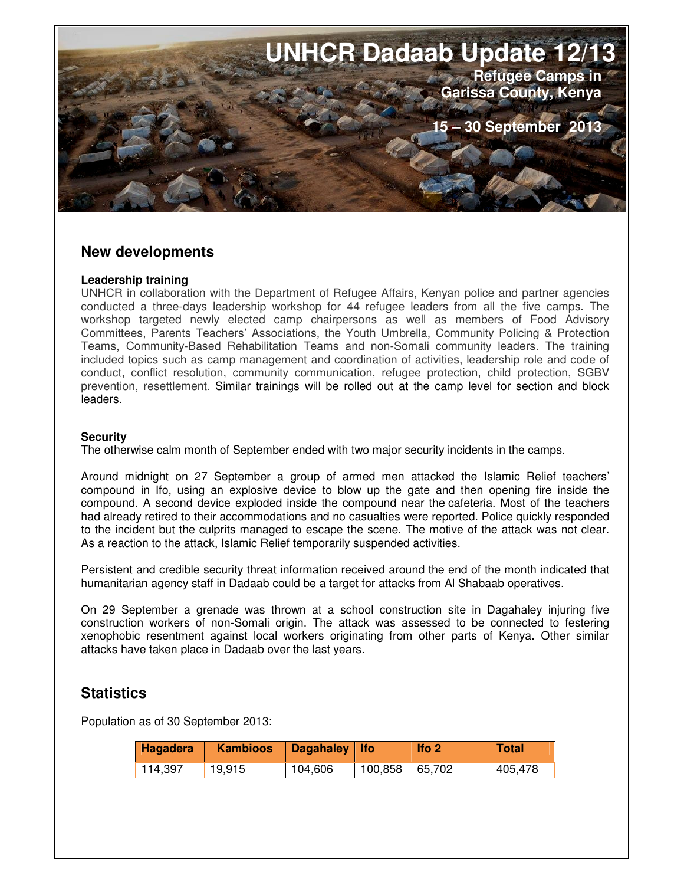

### **New developments**

#### **Leadership training**

UNHCR in collaboration with the Department of Refugee Affairs, Kenyan police and partner agencies conducted a three-days leadership workshop for 44 refugee leaders from all the five camps. The workshop targeted newly elected camp chairpersons as well as members of Food Advisory Committees, Parents Teachers' Associations, the Youth Umbrella, Community Policing & Protection Teams, Community-Based Rehabilitation Teams and non-Somali community leaders. The training included topics such as camp management and coordination of activities, leadership role and code of conduct, conflict resolution, community communication, refugee protection, child protection, SGBV prevention, resettlement. Similar trainings will be rolled out at the camp level for section and block leaders.

### **Security**

The otherwise calm month of September ended with two major security incidents in the camps.

Around midnight on 27 September a group of armed men attacked the Islamic Relief teachers' compound in Ifo, using an explosive device to blow up the gate and then opening fire inside the compound. A second device exploded inside the compound near the cafeteria. Most of the teachers had already retired to their accommodations and no casualties were reported. Police quickly responded to the incident but the culprits managed to escape the scene. The motive of the attack was not clear. As a reaction to the attack, Islamic Relief temporarily suspended activities.

Persistent and credible security threat information received around the end of the month indicated that humanitarian agency staff in Dadaab could be a target for attacks from Al Shabaab operatives.

On 29 September a grenade was thrown at a school construction site in Dagahaley injuring five construction workers of non-Somali origin. The attack was assessed to be connected to festering xenophobic resentment against local workers originating from other parts of Kenya. Other similar attacks have taken place in Dadaab over the last years.

## **Statistics**

Population as of 30 September 2013:

| Hagadera | <b>Kambioos</b> | $\log$ Dagahaley   Ifo |                | Ifo <sub>2</sub> | Total   |
|----------|-----------------|------------------------|----------------|------------------|---------|
| 114,397  | 19,915          | 104,606                | 100,858 65,702 |                  | 405,478 |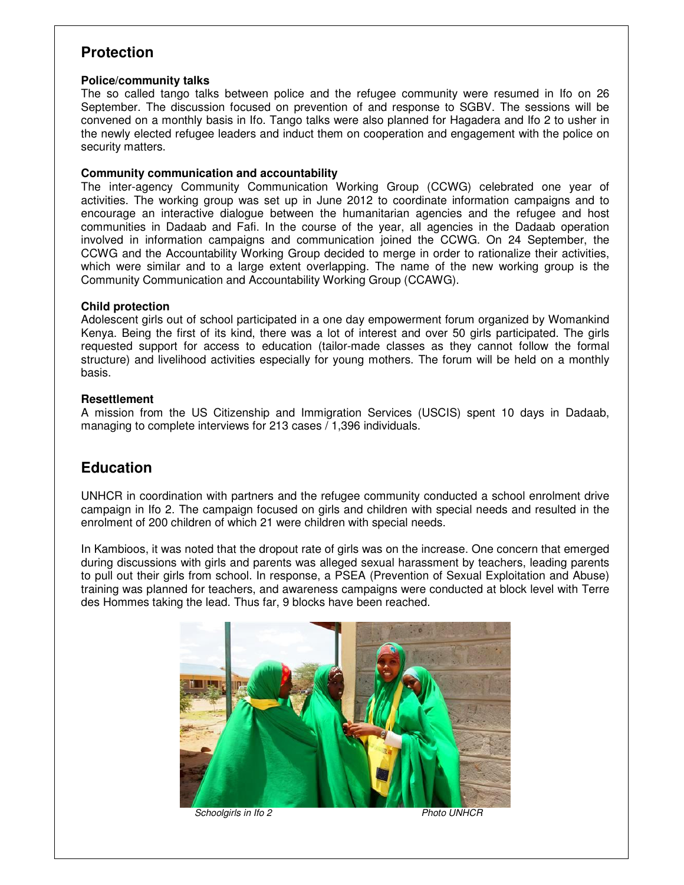# **Protection**

#### **Police/community talks**

The so called tango talks between police and the refugee community were resumed in Ifo on 26 September. The discussion focused on prevention of and response to SGBV. The sessions will be convened on a monthly basis in Ifo. Tango talks were also planned for Hagadera and Ifo 2 to usher in the newly elected refugee leaders and induct them on cooperation and engagement with the police on security matters.

#### **Community communication and accountability**

The inter-agency Community Communication Working Group (CCWG) celebrated one year of activities. The working group was set up in June 2012 to coordinate information campaigns and to encourage an interactive dialogue between the humanitarian agencies and the refugee and host communities in Dadaab and Fafi. In the course of the year, all agencies in the Dadaab operation involved in information campaigns and communication joined the CCWG. On 24 September, the CCWG and the Accountability Working Group decided to merge in order to rationalize their activities, which were similar and to a large extent overlapping. The name of the new working group is the Community Communication and Accountability Working Group (CCAWG).

#### **Child protection**

Adolescent girls out of school participated in a one day empowerment forum organized by Womankind Kenya. Being the first of its kind, there was a lot of interest and over 50 girls participated. The girls requested support for access to education (tailor-made classes as they cannot follow the formal structure) and livelihood activities especially for young mothers. The forum will be held on a monthly basis.

#### **Resettlement**

A mission from the US Citizenship and Immigration Services (USCIS) spent 10 days in Dadaab, managing to complete interviews for 213 cases / 1,396 individuals.

## **Education**

UNHCR in coordination with partners and the refugee community conducted a school enrolment drive campaign in Ifo 2. The campaign focused on girls and children with special needs and resulted in the enrolment of 200 children of which 21 were children with special needs.

In Kambioos, it was noted that the dropout rate of girls was on the increase. One concern that emerged during discussions with girls and parents was alleged sexual harassment by teachers, leading parents to pull out their girls from school. In response, a PSEA (Prevention of Sexual Exploitation and Abuse) training was planned for teachers, and awareness campaigns were conducted at block level with Terre des Hommes taking the lead. Thus far, 9 blocks have been reached.



**Schoolgirls in Ifo 2** Photo UNHCR